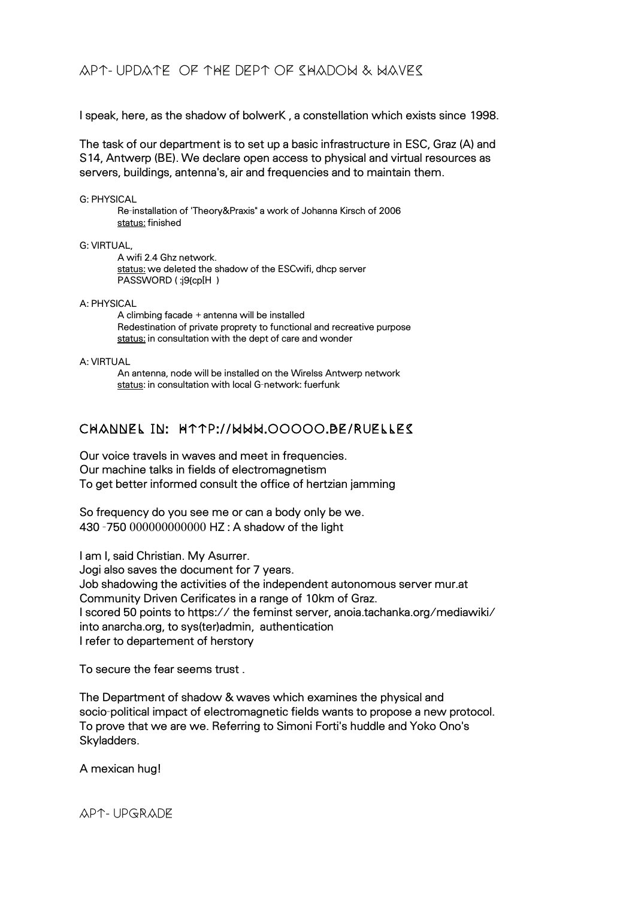I speak, here, as the shadow of bolwerK , a constellation which exists since 1998.

The task of our department is to set up a basic infrastructure in ESC, Graz (A) and S14, Antwerp (BE). We declare open access to physical and virtual resources as servers, buildings, antenna's, air and frequencies and to maintain them.

### G: PHYSICAL

Re-installation of 'Theory&Praxis" a work of Johanna Kirsch of 2006 status: finished

### G: VIRTUAL,

A wifi 2.4 Ghz network. status: we deleted the shadow of the ESCwifi, dhcp server PASSWORD (:j9{cp[H )

A: PHYSICAL

A climbing facade + antenna will be installed Redestination of private proprety to functional and recreative purpose status: in consultation with the dept of care and wonder

A: VIRTUAL

An antenna, node will be installed on the Wirelss Antwerp network status: in consultation with local G-network: fuerfunk

## CHANNEL IN: http://www.ooooo.be/ruelles

Our voice travels in waves and meet in frequencies. Our machine talks in fields of electromagnetism To get better informed consult the office of hertzian jamming

So frequency do you see me or can a body only be we. 430 -750 000000000000 HZ : A shadow of the light

I am I, said Christian. My Asurrer.

Jogi also saves the document for 7 years. Job shadowing the activities of the independent autonomous server mur.at Community Driven Cerificates in a range of 10km of Graz. I scored 50 points to https:// the feminst server, anoia.tachanka.org/mediawiki/ into anarcha.org, to sys(ter)admin, authentication I refer to departement of herstory

To secure the fear seems trust .

The Department of shadow & waves which examines the physical and socio-political impact of electromagnetic fields wants to propose a new protocol. To prove that we are we. Referring to Simoni Forti's huddle and Yoko Ono's Skyladders.

A mexican hug!

### APT- UPGRADE